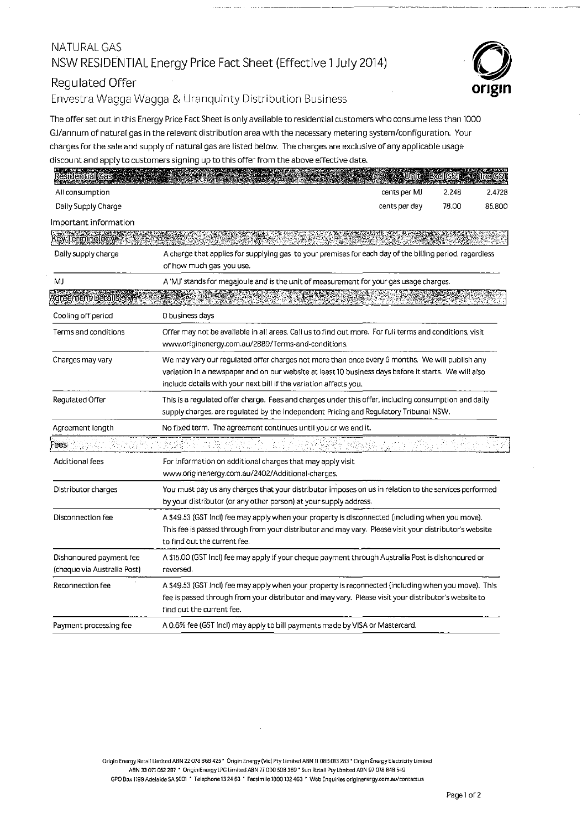#### NATURAL GAS NSW RESIDENTIAL Energy Price Fact Sheet (Effective 1July2014)

# Regulated Offer

Envestra Wagga Wagga & Uranquinty Distribution Business

The offer set out in this Energy Price Fact Sheet is only available to residential customers who consume Jess than 1000 GJ/annum of natural gas in the relevant distribution area with the necessary metering system/configuration. Your charges for the sale and supply of natural gas are listed below. The charges are exclusive of any applicable usage discount and apply to customers signing up to this offer from the above effective date.

- - ----------------------- --·--·-----------------

| <b>Residential Gas</b>                                 |                                                                                                                                                                                                                                                                             |               | Unit ExclGST | <b>Inclest</b> |  |
|--------------------------------------------------------|-----------------------------------------------------------------------------------------------------------------------------------------------------------------------------------------------------------------------------------------------------------------------------|---------------|--------------|----------------|--|
| All consumption                                        |                                                                                                                                                                                                                                                                             | cents per MJ  | 2.248        | 2.4728         |  |
| Daily Supply Charge                                    |                                                                                                                                                                                                                                                                             | cents per day | 78.00        | 85.800         |  |
| Important information                                  |                                                                                                                                                                                                                                                                             |               |              |                |  |
| Key Terminology.                                       |                                                                                                                                                                                                                                                                             |               |              |                |  |
| Daily supply charge                                    | A charge that applies for supplying gas to your premises for each day of the billing period, regardless<br>of how much gas you use.                                                                                                                                         |               |              |                |  |
| MJ                                                     | A 'MJ' stands for megajoule and is the unit of measurement for your gas usage charges.                                                                                                                                                                                      |               |              |                |  |
| Agreement Details                                      |                                                                                                                                                                                                                                                                             |               |              |                |  |
| Cooling off period                                     | 0 business days                                                                                                                                                                                                                                                             |               |              |                |  |
| Terms and conditions                                   | Offer may not be available in all areas. Call us to find out more. For full terms and conditions, visit<br>www.originenergy.com.au/2889/Terms-and-conditions.                                                                                                               |               |              |                |  |
| Charges may vary                                       | We may vary our regulated offer charges not more than once every 6 months. We will publish any<br>variation in a newspaper and on our website at least 10 business days before it starts. We will also<br>include details with your next bill if the variation affects you. |               |              |                |  |
| Regulated Offer                                        | This is a regulated offer charge. Fees and charges under this offer, including consumption and daily<br>supply charges, are regulated by the Independent Pricing and Regulatory Tribunal NSW.                                                                               |               |              |                |  |
| Agreement length                                       | No fixed term. The agreement continues until you or we end it.                                                                                                                                                                                                              |               |              |                |  |
| ees.                                                   | والأستعبر لدقنه                                                                                                                                                                                                                                                             |               |              |                |  |
| Additional fees                                        | For information on additional charges that may apply visit<br>www.originenergy.com.au/2402/Additional-charges.                                                                                                                                                              |               |              |                |  |
| Distributor charges                                    | You must pay us any charges that your distributor imposes on us in relation to the services performed<br>by your distributor (or any other person) at your supply address.                                                                                                  |               |              |                |  |
| Disconnection fee                                      | A \$49.53 (GST Incl) fee may apply when your property is disconnected (including when you move).<br>This fee is passed through from your distributor and may vary. Please visit your distributor's website<br>to find out the current fee.                                  |               |              |                |  |
| Dishonoured payment fee<br>(cheque via Australia Post) | A \$15.00 (GST Incl) fee may apply if your cheque payment through Australia Post is dishonoured or<br>reversed.                                                                                                                                                             |               |              |                |  |
| Reconnection fee                                       | A \$49.53 (GST Incl) fee may apply when your property is reconnected (including when you move). This<br>fee is passed through from your distributor and may vary. Please visit your distributor's website to<br>find out the current fee.                                   |               |              |                |  |
| Payment processing fee                                 | A 0.6% fee (GST Incl) may apply to bill payments made by VISA or Mastercard.                                                                                                                                                                                                |               |              |                |  |